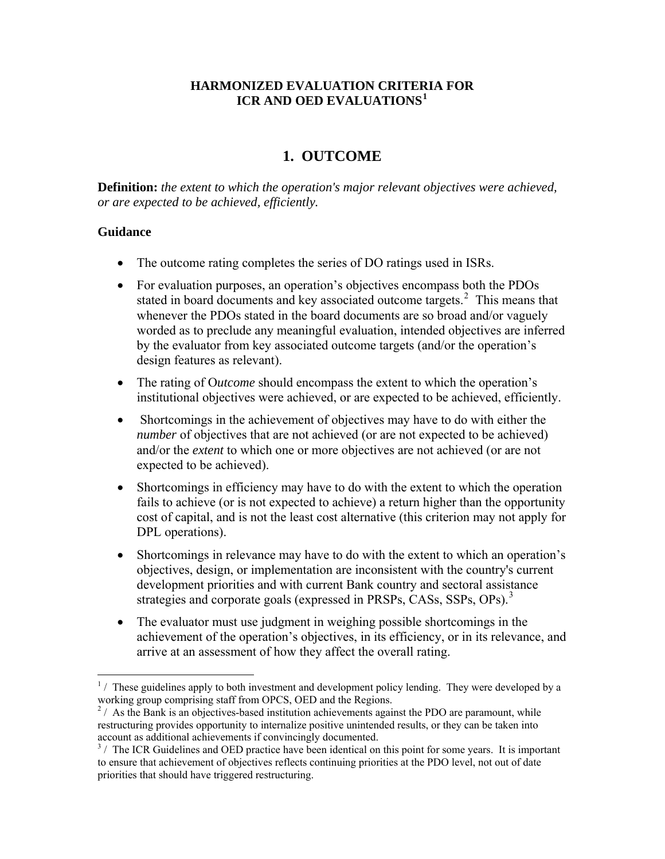# **HARMONIZED EVALUATION CRITERIA FOR ICR AND OED EVALUATIONS[1](#page-0-0)**

# **1. OUTCOME**

**Definition:** *the extent to which the operation's major relevant objectives were achieved, or are expected to be achieved, efficiently.*

### **Guidance**

 $\overline{a}$ 

- The outcome rating completes the series of DO ratings used in ISRs.
- For evaluation purposes, an operation's objectives encompass both the PDOs stated in board documents and key associated outcome targets. $2$  This means that whenever the PDOs stated in the board documents are so broad and/or vaguely worded as to preclude any meaningful evaluation, intended objectives are inferred by the evaluator from key associated outcome targets (and/or the operation's design features as relevant).
- The rating of O*utcome* should encompass the extent to which the operation's institutional objectives were achieved, or are expected to be achieved, efficiently.
- Shortcomings in the achievement of objectives may have to do with either the *number* of objectives that are not achieved (or are not expected to be achieved) and/or the *extent* to which one or more objectives are not achieved (or are not expected to be achieved).
- Shortcomings in efficiency may have to do with the extent to which the operation fails to achieve (or is not expected to achieve) a return higher than the opportunity cost of capital, and is not the least cost alternative (this criterion may not apply for DPL operations).
- Shortcomings in relevance may have to do with the extent to which an operation's objectives, design, or implementation are inconsistent with the country's current development priorities and with current Bank country and sectoral assistance strategies and corporate goals (expressed in PRSPs, CASs, SSPs, OPs).<sup>[3](#page-0-2)</sup>
- The evaluator must use judgment in weighing possible shortcomings in the achievement of the operation's objectives, in its efficiency, or in its relevance, and arrive at an assessment of how they affect the overall rating.

<span id="page-0-0"></span> $<sup>1</sup>$ / These guidelines apply to both investment and development policy lending. They were developed by a</sup> working group comprising staff from OPCS, OED and the Regions.

<span id="page-0-1"></span> $2/$  As the Bank is an objectives-based institution achievements against the PDO are paramount, while restructuring provides opportunity to internalize positive unintended results, or they can be taken into account as additional achievements if convincingly documented.

<span id="page-0-2"></span><sup>&</sup>lt;sup>3</sup>/ The ICR Guidelines and OED practice have been identical on this point for some years. It is important to ensure that achievement of objectives reflects continuing priorities at the PDO level, not out of date priorities that should have triggered restructuring.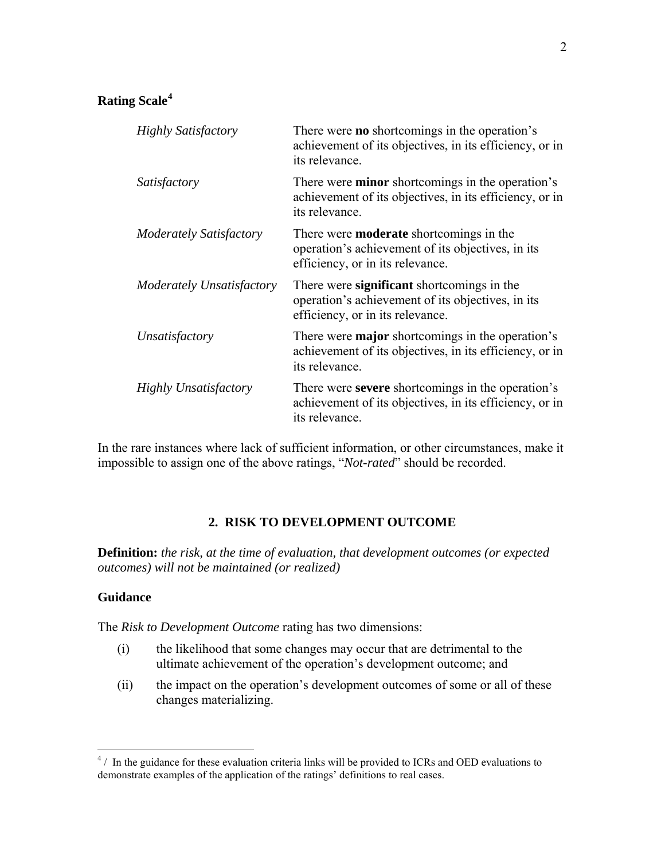| There were <b>no</b> shortcomings in the operation's<br>achievement of its objectives, in its efficiency, or in<br>its relevance.       |
|-----------------------------------------------------------------------------------------------------------------------------------------|
| There were <b>minor</b> shortcomings in the operation's<br>achievement of its objectives, in its efficiency, or in<br>its relevance.    |
| There were <b>moderate</b> shortcomings in the<br>operation's achievement of its objectives, in its<br>efficiency, or in its relevance. |
| There were significant shortcomings in the<br>operation's achievement of its objectives, in its<br>efficiency, or in its relevance.     |
| There were <b>major</b> shortcomings in the operation's<br>achievement of its objectives, in its efficiency, or in<br>its relevance.    |
| There were <b>severe</b> shortcomings in the operation's<br>achievement of its objectives, in its efficiency, or in<br>its relevance.   |
|                                                                                                                                         |

In the rare instances where lack of sufficient information, or other circumstances, make it impossible to assign one of the above ratings, "*Not-rated*" should be recorded.

### **2. RISK TO DEVELOPMENT OUTCOME**

**Definition:** *the risk, at the time of evaluation, that development outcomes (or expected outcomes) will not be maintained (or realized)* 

#### **Guidance**

The *Risk to Development Outcome* rating has two dimensions:

- (i) the likelihood that some changes may occur that are detrimental to the ultimate achievement of the operation's development outcome; and
- (ii) the impact on the operation's development outcomes of some or all of these changes materializing.

<span id="page-1-0"></span> 4 / In the guidance for these evaluation criteria links will be provided to ICRs and OED evaluations to demonstrate examples of the application of the ratings' definitions to real cases.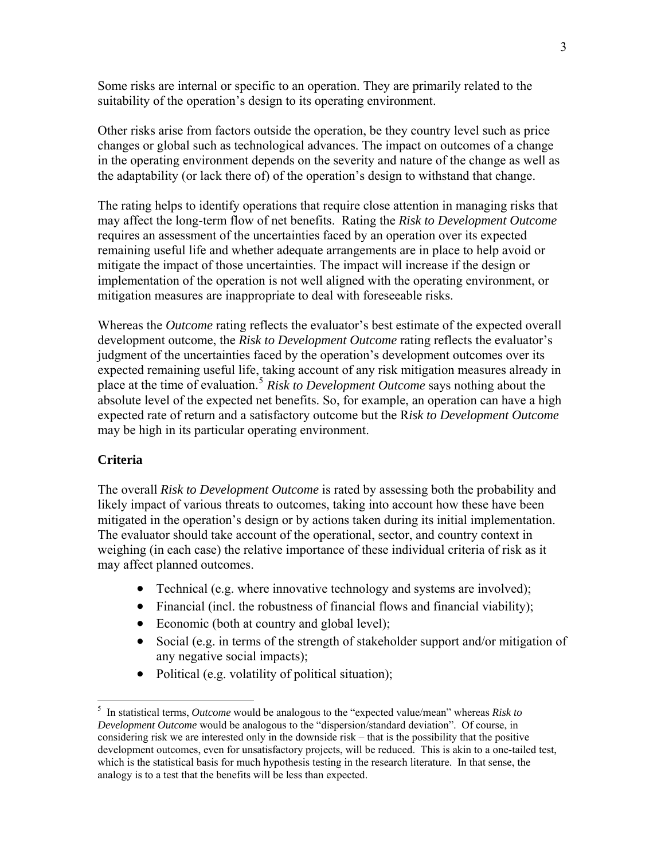Some risks are internal or specific to an operation. They are primarily related to the suitability of the operation's design to its operating environment.

Other risks arise from factors outside the operation, be they country level such as price changes or global such as technological advances. The impact on outcomes of a change in the operating environment depends on the severity and nature of the change as well as the adaptability (or lack there of) of the operation's design to withstand that change.

The rating helps to identify operations that require close attention in managing risks that may affect the long-term flow of net benefits. Rating the *Risk to Development Outcome* requires an assessment of the uncertainties faced by an operation over its expected remaining useful life and whether adequate arrangements are in place to help avoid or mitigate the impact of those uncertainties. The impact will increase if the design or implementation of the operation is not well aligned with the operating environment, or mitigation measures are inappropriate to deal with foreseeable risks.

Whereas the *Outcome* rating reflects the evaluator's best estimate of the expected overall development outcome, the *Risk to Development Outcome* rating reflects the evaluator's judgment of the uncertainties faced by the operation's development outcomes over its expected remaining useful life, taking account of any risk mitigation measures already in place at the time of evaluation.[5](#page-2-0) *Risk to Development Outcome* says nothing about the absolute level of the expected net benefits. So, for example, an operation can have a high expected rate of return and a satisfactory outcome but the R*isk to Development Outcome* may be high in its particular operating environment.

#### **Criteria**

 $\overline{a}$ 

The overall *Risk to Development Outcome* is rated by assessing both the probability and likely impact of various threats to outcomes, taking into account how these have been mitigated in the operation's design or by actions taken during its initial implementation. The evaluator should take account of the operational, sector, and country context in weighing (in each case) the relative importance of these individual criteria of risk as it may affect planned outcomes.

- Technical (e.g. where innovative technology and systems are involved);
- Financial (incl. the robustness of financial flows and financial viability);
- Economic (both at country and global level);
- Social (e.g. in terms of the strength of stakeholder support and/or mitigation of any negative social impacts);
- Political (e.g. volatility of political situation);

<span id="page-2-0"></span><sup>5</sup> In statistical terms, *Outcome* would be analogous to the "expected value/mean" whereas *Risk to Development Outcome* would be analogous to the "dispersion/standard deviation". Of course, in considering risk we are interested only in the downside risk – that is the possibility that the positive development outcomes, even for unsatisfactory projects, will be reduced. This is akin to a one-tailed test, which is the statistical basis for much hypothesis testing in the research literature. In that sense, the analogy is to a test that the benefits will be less than expected.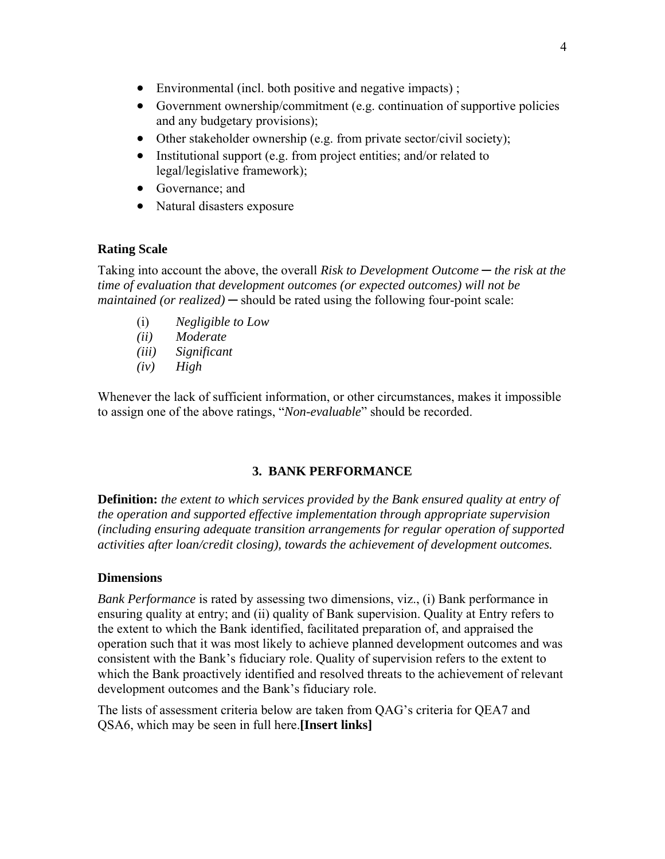- Environmental (incl. both positive and negative impacts);
- Government ownership/commitment (e.g. continuation of supportive policies and any budgetary provisions);
- Other stakeholder ownership (e.g. from private sector/civil society);
- Institutional support (e.g. from project entities; and/or related to legal/legislative framework);
- Governance; and
- Natural disasters exposure

Taking into account the above, the overall *Risk to Development Outcome* ─ *the risk at the time of evaluation that development outcomes (or expected outcomes) will not be maintained (or realized)* — should be rated using the following four-point scale:

- (i) *Negligible to Low*
- *(ii) Moderate*
- *(iii) Significant*
- *(iv) High*

Whenever the lack of sufficient information, or other circumstances, makes it impossible to assign one of the above ratings, "*Non-evaluable*" should be recorded.

### **3. BANK PERFORMANCE**

**Definition:** *the extent to which services provided by the Bank ensured quality at entry of the operation and supported effective implementation through appropriate supervision (including ensuring adequate transition arrangements for regular operation of supported activities after loan/credit closing), towards the achievement of development outcomes.*

#### **Dimensions**

*Bank Performance* is rated by assessing two dimensions, viz., (i) Bank performance in ensuring quality at entry; and (ii) quality of Bank supervision. Quality at Entry refers to the extent to which the Bank identified, facilitated preparation of, and appraised the operation such that it was most likely to achieve planned development outcomes and was consistent with the Bank's fiduciary role. Quality of supervision refers to the extent to which the Bank proactively identified and resolved threats to the achievement of relevant development outcomes and the Bank's fiduciary role.

The lists of assessment criteria below are taken from QAG's criteria for QEA7 and QSA6, which may be seen in full here.**[Insert links]**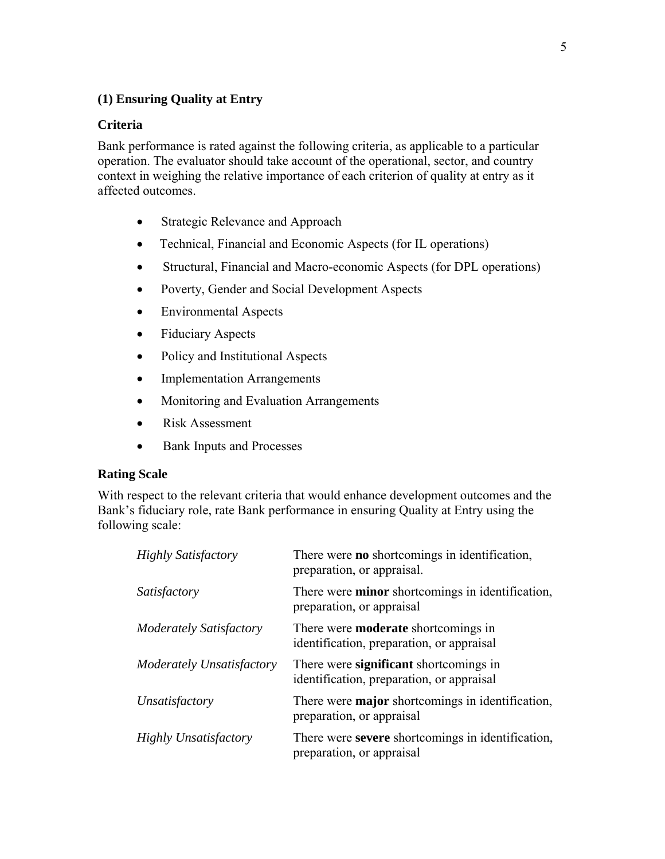# **(1) Ensuring Quality at Entry**

### **Criteria**

Bank performance is rated against the following criteria, as applicable to a particular operation. The evaluator should take account of the operational, sector, and country context in weighing the relative importance of each criterion of quality at entry as it affected outcomes.

- Strategic Relevance and Approach
- Technical, Financial and Economic Aspects (for IL operations)
- Structural, Financial and Macro-economic Aspects (for DPL operations)
- Poverty, Gender and Social Development Aspects
- Environmental Aspects
- Fiduciary Aspects
- Policy and Institutional Aspects
- Implementation Arrangements
- Monitoring and Evaluation Arrangements
- Risk Assessment
- Bank Inputs and Processes

### **Rating Scale**

With respect to the relevant criteria that would enhance development outcomes and the Bank's fiduciary role, rate Bank performance in ensuring Quality at Entry using the following scale:

| <b>Highly Satisfactory</b>     | There were <b>no</b> shortcomings in identification,<br>preparation, or appraisal.      |
|--------------------------------|-----------------------------------------------------------------------------------------|
| Satisfactory                   | There were <b>minor</b> shortcomings in identification,<br>preparation, or appraisal    |
| <b>Moderately Satisfactory</b> | There were <b>moderate</b> shortcomings in<br>identification, preparation, or appraisal |
| Moderately Unsatisfactory      | There were significant shortcomings in<br>identification, preparation, or appraisal     |
| Unsatisfactory                 | There were <b>major</b> shortcomings in identification,<br>preparation, or appraisal    |
| <b>Highly Unsatisfactory</b>   | There were severe shortcomings in identification,<br>preparation, or appraisal          |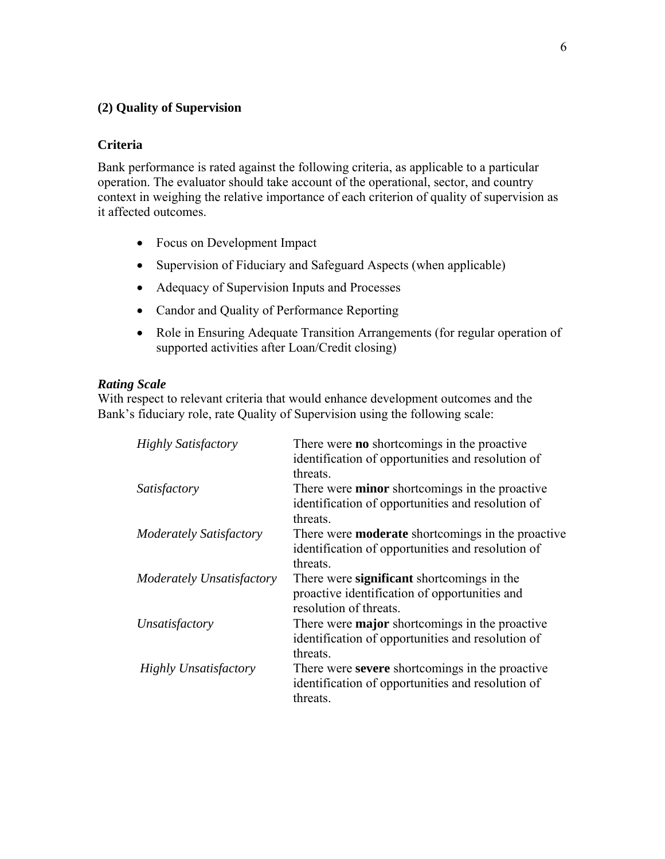# **(2) Quality of Supervision**

#### **Criteria**

Bank performance is rated against the following criteria, as applicable to a particular operation. The evaluator should take account of the operational, sector, and country context in weighing the relative importance of each criterion of quality of supervision as it affected outcomes.

- Focus on Development Impact
- Supervision of Fiduciary and Safeguard Aspects (when applicable)
- Adequacy of Supervision Inputs and Processes
- Candor and Quality of Performance Reporting
- Role in Ensuring Adequate Transition Arrangements (for regular operation of supported activities after Loan/Credit closing)

#### *Rating Scale*

With respect to relevant criteria that would enhance development outcomes and the Bank's fiduciary role, rate Quality of Supervision using the following scale:

| <b>Highly Satisfactory</b>   | There were <b>no</b> shortcomings in the proactive<br>identification of opportunities and resolution of<br>threats.       |
|------------------------------|---------------------------------------------------------------------------------------------------------------------------|
| Satisfactory                 | There were <b>minor</b> shortcomings in the proactive<br>identification of opportunities and resolution of<br>threats.    |
| Moderately Satisfactory      | There were <b>moderate</b> shortcomings in the proactive<br>identification of opportunities and resolution of<br>threats. |
| Moderately Unsatisfactory    | There were significant shortcomings in the<br>proactive identification of opportunities and<br>resolution of threats.     |
| Unsatisfactory               | There were <b>major</b> shortcomings in the proactive<br>identification of opportunities and resolution of<br>threats.    |
| <b>Highly Unsatisfactory</b> | There were severe shortcomings in the proactive<br>identification of opportunities and resolution of<br>threats.          |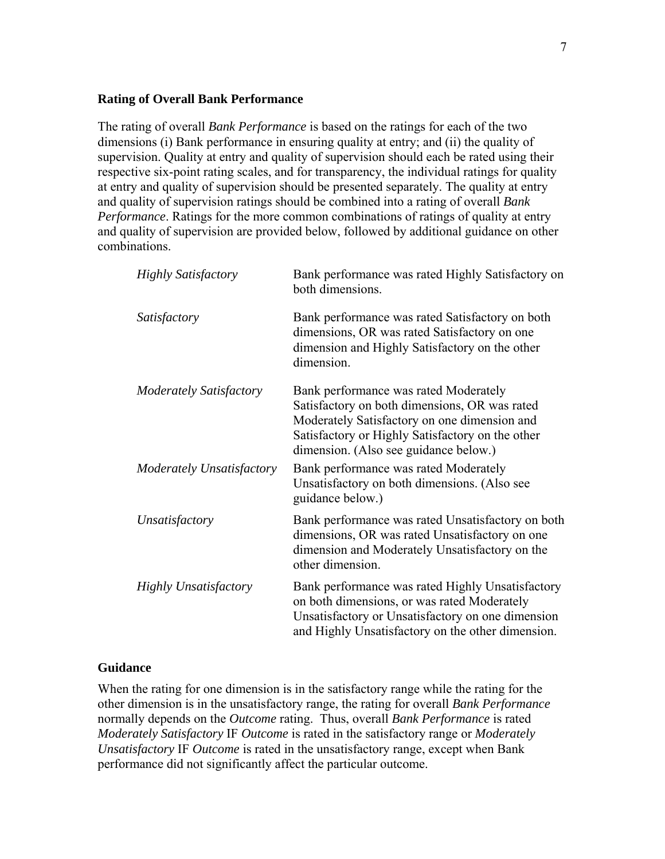#### **Rating of Overall Bank Performance**

The rating of overall *Bank Performance* is based on the ratings for each of the two dimensions (i) Bank performance in ensuring quality at entry; and (ii) the quality of supervision. Quality at entry and quality of supervision should each be rated using their respective six-point rating scales, and for transparency, the individual ratings for quality at entry and quality of supervision should be presented separately. The quality at entry and quality of supervision ratings should be combined into a rating of overall *Bank Performance*. Ratings for the more common combinations of ratings of quality at entry and quality of supervision are provided below, followed by additional guidance on other combinations.

| <b>Highly Satisfactory</b>     | Bank performance was rated Highly Satisfactory on<br>both dimensions.                                                                                                                                                               |
|--------------------------------|-------------------------------------------------------------------------------------------------------------------------------------------------------------------------------------------------------------------------------------|
| Satisfactory                   | Bank performance was rated Satisfactory on both<br>dimensions, OR was rated Satisfactory on one<br>dimension and Highly Satisfactory on the other<br>dimension.                                                                     |
| <b>Moderately Satisfactory</b> | Bank performance was rated Moderately<br>Satisfactory on both dimensions, OR was rated<br>Moderately Satisfactory on one dimension and<br>Satisfactory or Highly Satisfactory on the other<br>dimension. (Also see guidance below.) |
| Moderately Unsatisfactory      | Bank performance was rated Moderately<br>Unsatisfactory on both dimensions. (Also see<br>guidance below.)                                                                                                                           |
| Unsatisfactory                 | Bank performance was rated Unsatisfactory on both<br>dimensions, OR was rated Unsatisfactory on one<br>dimension and Moderately Unsatisfactory on the<br>other dimension.                                                           |
| <b>Highly Unsatisfactory</b>   | Bank performance was rated Highly Unsatisfactory<br>on both dimensions, or was rated Moderately<br>Unsatisfactory or Unsatisfactory on one dimension<br>and Highly Unsatisfactory on the other dimension.                           |

#### **Guidance**

When the rating for one dimension is in the satisfactory range while the rating for the other dimension is in the unsatisfactory range, the rating for overall *Bank Performance* normally depends on the *Outcome* rating. Thus, overall *Bank Performance* is rated *Moderately Satisfactory* IF *Outcome* is rated in the satisfactory range or *Moderately Unsatisfactory* IF *Outcome* is rated in the unsatisfactory range, except when Bank performance did not significantly affect the particular outcome.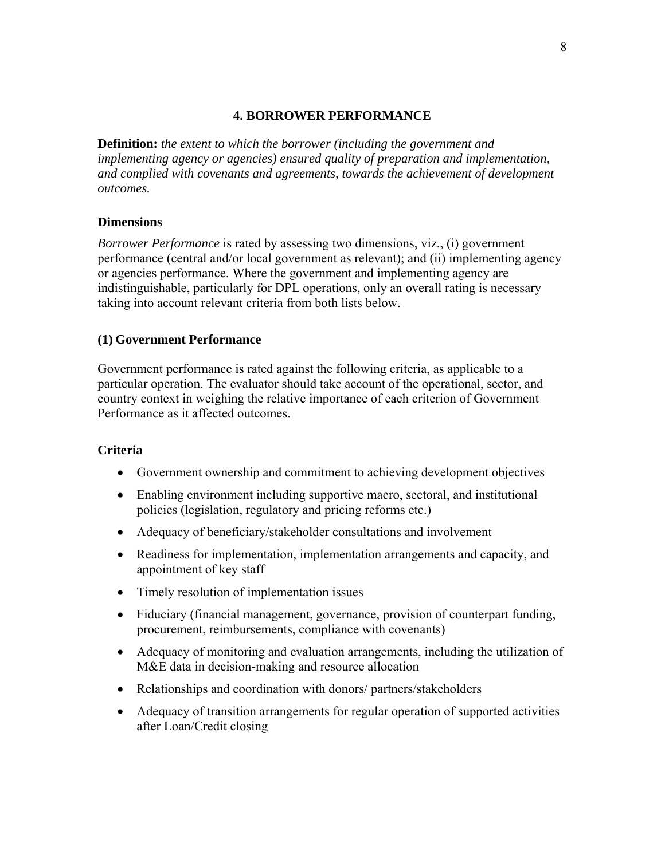### **4. BORROWER PERFORMANCE**

**Definition:** *the extent to which the borrower (including the government and implementing agency or agencies) ensured quality of preparation and implementation, and complied with covenants and agreements, towards the achievement of development outcomes.*

### **Dimensions**

*Borrower Performance* is rated by assessing two dimensions, viz., (i) government performance (central and/or local government as relevant); and (ii) implementing agency or agencies performance. Where the government and implementing agency are indistinguishable, particularly for DPL operations, only an overall rating is necessary taking into account relevant criteria from both lists below.

# **(1) Government Performance**

Government performance is rated against the following criteria, as applicable to a particular operation. The evaluator should take account of the operational, sector, and country context in weighing the relative importance of each criterion of Government Performance as it affected outcomes.

### **Criteria**

- Government ownership and commitment to achieving development objectives
- Enabling environment including supportive macro, sectoral, and institutional policies (legislation, regulatory and pricing reforms etc.)
- Adequacy of beneficiary/stakeholder consultations and involvement
- Readiness for implementation, implementation arrangements and capacity, and appointment of key staff
- Timely resolution of implementation issues
- Fiduciary (financial management, governance, provision of counterpart funding, procurement, reimbursements, compliance with covenants)
- Adequacy of monitoring and evaluation arrangements, including the utilization of M&E data in decision-making and resource allocation
- Relationships and coordination with donors/ partners/stakeholders
- Adequacy of transition arrangements for regular operation of supported activities after Loan/Credit closing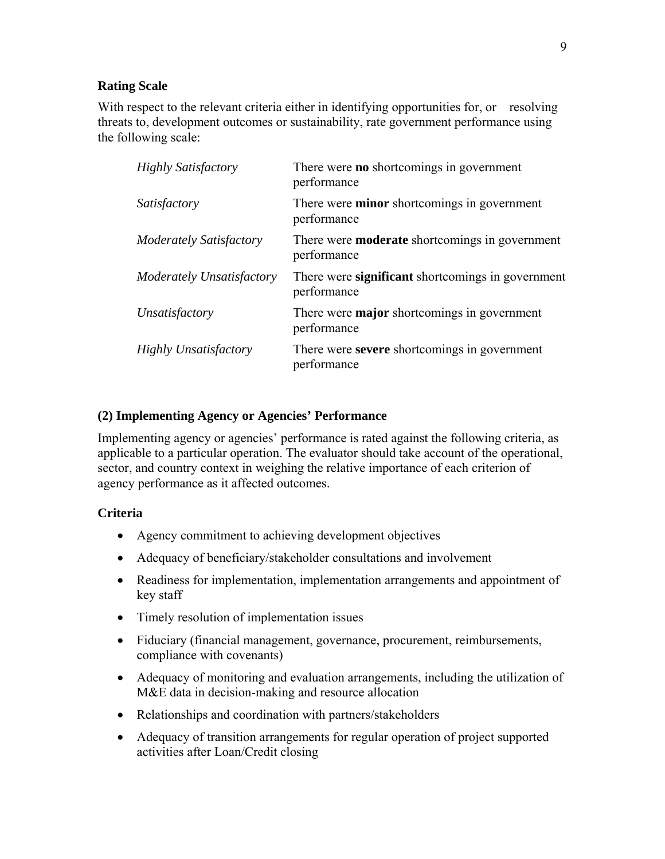With respect to the relevant criteria either in identifying opportunities for, or resolving threats to, development outcomes or sustainability, rate government performance using the following scale:

| There were <b>no</b> shortcomings in government<br>performance       |
|----------------------------------------------------------------------|
| There were <b>minor</b> shortcomings in government<br>performance    |
| There were <b>moderate</b> shortcomings in government<br>performance |
| There were significant shortcomings in government<br>performance     |
| There were <b>major</b> shortcomings in government<br>performance    |
| There were severe shortcomings in government<br>performance          |
|                                                                      |

# **(2) Implementing Agency or Agencies' Performance**

Implementing agency or agencies' performance is rated against the following criteria, as applicable to a particular operation. The evaluator should take account of the operational, sector, and country context in weighing the relative importance of each criterion of agency performance as it affected outcomes.

# **Criteria**

- Agency commitment to achieving development objectives
- Adequacy of beneficiary/stakeholder consultations and involvement
- Readiness for implementation, implementation arrangements and appointment of key staff
- Timely resolution of implementation issues
- Fiduciary (financial management, governance, procurement, reimbursements, compliance with covenants)
- Adequacy of monitoring and evaluation arrangements, including the utilization of M&E data in decision-making and resource allocation
- Relationships and coordination with partners/stakeholders
- Adequacy of transition arrangements for regular operation of project supported activities after Loan/Credit closing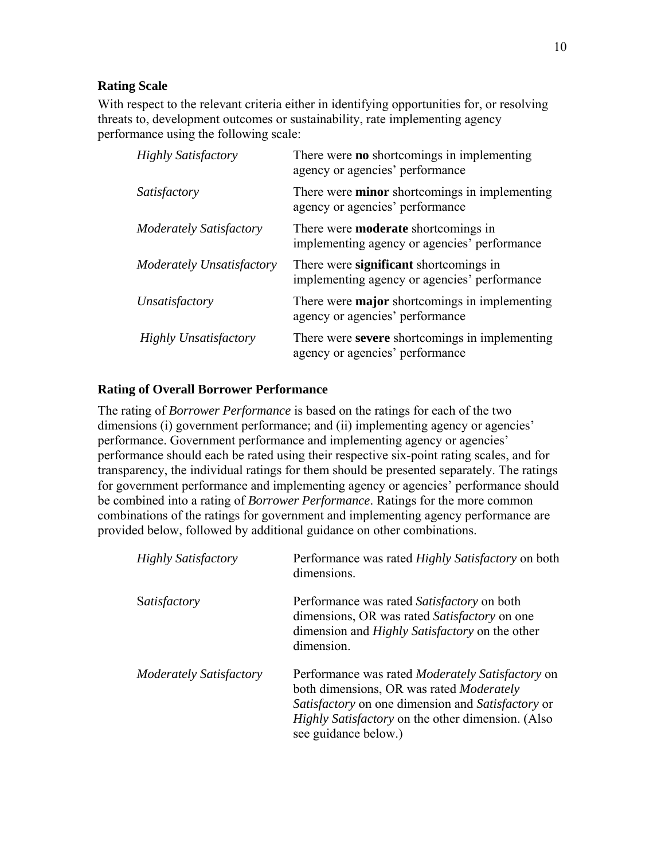With respect to the relevant criteria either in identifying opportunities for, or resolving threats to, development outcomes or sustainability, rate implementing agency performance using the following scale:

| <b>Highly Satisfactory</b>       | There were <b>no</b> shortcomings in implementing<br>agency or agencies' performance       |
|----------------------------------|--------------------------------------------------------------------------------------------|
| Satisfactory                     | There were <b>minor</b> shortcomings in implementing<br>agency or agencies' performance    |
| Moderately Satisfactory          | There were <b>moderate</b> shortcomings in<br>implementing agency or agencies' performance |
| <b>Moderately Unsatisfactory</b> | There were significant shortcomings in<br>implementing agency or agencies' performance     |
| Unsatisfactory                   | There were <b>major</b> shortcomings in implementing<br>agency or agencies' performance    |
| <b>Highly Unsatisfactory</b>     | There were severe shortcomings in implementing<br>agency or agencies' performance          |

# **Rating of Overall Borrower Performance**

The rating of *Borrower Performance* is based on the ratings for each of the two dimensions (i) government performance; and (ii) implementing agency or agencies' performance. Government performance and implementing agency or agencies' performance should each be rated using their respective six-point rating scales, and for transparency, the individual ratings for them should be presented separately. The ratings for government performance and implementing agency or agencies' performance should be combined into a rating of *Borrower Performance*. Ratings for the more common combinations of the ratings for government and implementing agency performance are provided below, followed by additional guidance on other combinations.

| <b>Highly Satisfactory</b>     | Performance was rated <i>Highly Satisfactory</i> on both<br>dimensions.                                                                                                                                                                      |
|--------------------------------|----------------------------------------------------------------------------------------------------------------------------------------------------------------------------------------------------------------------------------------------|
| Satisfactory                   | Performance was rated <i>Satisfactory</i> on both<br>dimensions, OR was rated Satisfactory on one<br>dimension and <i>Highly Satisfactory</i> on the other<br>dimension.                                                                     |
| <b>Moderately Satisfactory</b> | Performance was rated <i>Moderately Satisfactory</i> on<br>both dimensions, OR was rated Moderately<br>Satisfactory on one dimension and Satisfactory or<br><i>Highly Satisfactory</i> on the other dimension. (Also<br>see guidance below.) |